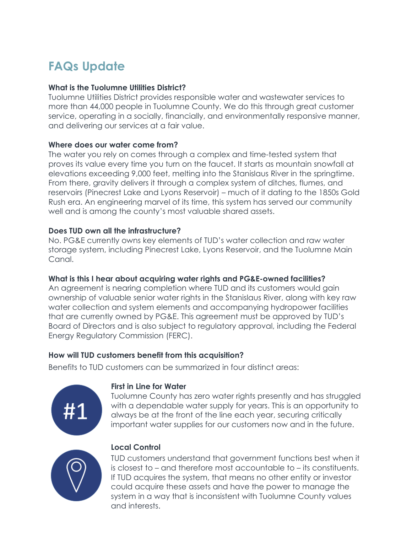# **FAQs Update**

## **What is the Tuolumne Utilities District?**

Tuolumne Utilities District provides responsible water and wastewater services to more than 44,000 people in Tuolumne County. We do this through great customer service, operating in a socially, financially, and environmentally responsive manner, and delivering our services at a fair value.

## **Where does our water come from?**

The water you rely on comes through a complex and time-tested system that proves its value every time you turn on the faucet. It starts as mountain snowfall at elevations exceeding 9,000 feet, melting into the Stanislaus River in the springtime. From there, gravity delivers it through a complex system of ditches, flumes, and reservoirs (Pinecrest Lake and Lyons Reservoir) – much of it dating to the 1850s Gold Rush era. An engineering marvel of its time, this system has served our community well and is among the county's most valuable shared assets.

## **Does TUD own all the infrastructure?**

No. PG&E currently owns key elements of TUD's water collection and raw water storage system, including Pinecrest Lake, Lyons Reservoir, and the Tuolumne Main Canal.

## **What is this I hear about acquiring water rights and PG&E-owned facilities?**

An agreement is nearing completion where TUD and its customers would gain ownership of valuable senior water rights in the Stanislaus River, along with key raw water collection and system elements and accompanying hydropower facilities that are currently owned by PG&E. This agreement must be approved by TUD's Board of Directors and is also subject to regulatory approval, including the Federal Energy Regulatory Commission (FERC).

## **How will TUD customers benefit from this acquisition?**

Benefits to TUD customers can be summarized in four distinct areas:



#### **First in Line for Water**

Tuolumne County has zero water rights presently and has struggled with a dependable water supply for years. This is an opportunity to always be at the front of the line each year, securing critically important water supplies for our customers now and in the future.



#### **Local Control**

TUD customers understand that government functions best when it is closest to – and therefore most accountable to – its constituents. If TUD acquires the system, that means no other entity or investor could acquire these assets and have the power to manage the system in a way that is inconsistent with Tuolumne County values and interests.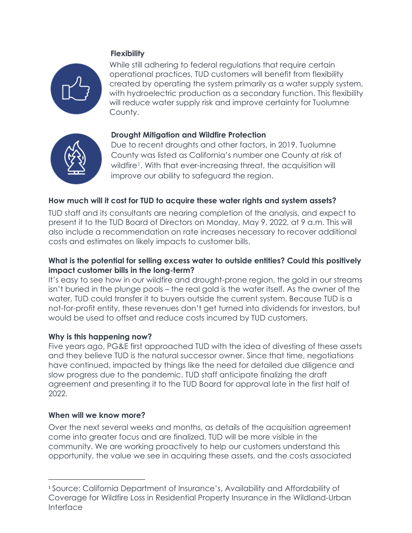# **Flexibility**



While still adhering to federal regulations that require certain operational practices, TUD customers will benefit from flexibility created by operating the system primarily as a water supply system, with hydroelectric production as a secondary function. This flexibility will reduce water supply risk and improve certainty for Tuolumne County.

# **Drought Mitigation and Wildfire Protection**



Due to recent droughts and other factors, in 2019, Tuolumne County was listed as California's number one County at risk of wildfire<sup>1</sup>. With that ever-increasing threat, the acquisition will improve our ability to safeguard the region.

# **How much will it cost for TUD to acquire these water rights and system assets?**

TUD staff and its consultants are nearing completion of the analysis, and expect to present it to the TUD Board of Directors on Monday, May 9, 2022, at 9 a.m. This will also include a recommendation on rate increases necessary to recover additional costs and estimates on likely impacts to customer bills.

## **What is the potential for selling excess water to outside entities? Could this positively impact customer bills in the long-term?**

It's easy to see how in our wildfire and drought-prone region, the gold in our streams isn't buried in the plunge pools – the real gold is the water itself. As the owner of the water, TUD could transfer it to buyers outside the current system. Because TUD is a not-for-profit entity, these revenues don't get turned into dividends for investors, but would be used to offset and reduce costs incurred by TUD customers.

## **Why is this happening now?**

Five years ago, PG&E first approached TUD with the idea of divesting of these assets and they believe TUD is the natural successor owner. Since that time, negotiations have continued, impacted by things like the need for detailed due diligence and slow progress due to the pandemic. TUD staff anticipate finalizing the draft agreement and presenting it to the TUD Board for approval late in the first half of 2022.

#### **When will we know more?**

Over the next several weeks and months, as details of the acquisition agreement come into greater focus and are finalized, TUD will be more visible in the community. We are working proactively to help our customers understand this opportunity, the value we see in acquiring these assets, and the costs associated

<span id="page-1-0"></span><sup>1</sup> Source: California Department of Insurance's, Availability and Affordability of Coverage for Wildfire Loss in Residential Property Insurance in the Wildland-Urban Interface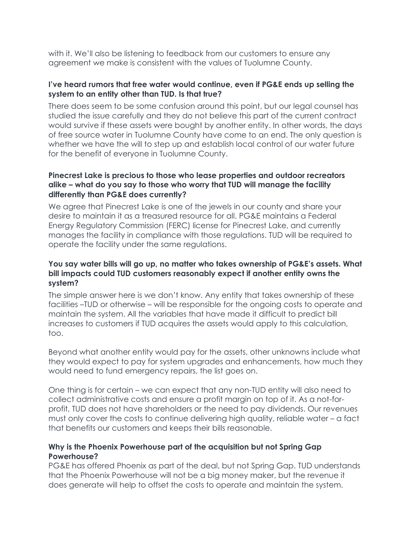with it. We'll also be listening to feedback from our customers to ensure any agreement we make is consistent with the values of Tuolumne County.

#### **I've heard rumors that free water would continue, even if PG&E ends up selling the system to an entity other than TUD. Is that true?**

There does seem to be some confusion around this point, but our legal counsel has studied the issue carefully and they do not believe this part of the current contract would survive if these assets were bought by another entity. In other words, the days of free source water in Tuolumne County have come to an end. The only question is whether we have the will to step up and establish local control of our water future for the benefit of everyone in Tuolumne County.

### **Pinecrest Lake is precious to those who lease properties and outdoor recreators alike – what do you say to those who worry that TUD will manage the facility differently than PG&E does currently?**

We agree that Pinecrest Lake is one of the jewels in our county and share your desire to maintain it as a treasured resource for all. PG&E maintains a Federal Energy Regulatory Commission (FERC) license for Pinecrest Lake, and currently manages the facility in compliance with those regulations. TUD will be required to operate the facility under the same regulations.

## **You say water bills will go up, no matter who takes ownership of PG&E's assets. What bill impacts could TUD customers reasonably expect if another entity owns the system?**

The simple answer here is we don't know. Any entity that takes ownership of these facilities –TUD or otherwise – will be responsible for the ongoing costs to operate and maintain the system. All the variables that have made it difficult to predict bill increases to customers if TUD acquires the assets would apply to this calculation, too.

Beyond what another entity would pay for the assets, other unknowns include what they would expect to pay for system upgrades and enhancements, how much they would need to fund emergency repairs, the list goes on.

One thing is for certain – we can expect that any non-TUD entity will also need to collect administrative costs and ensure a profit margin on top of it. As a not-forprofit, TUD does not have shareholders or the need to pay dividends. Our revenues must only cover the costs to continue delivering high quality, reliable water – a fact that benefits our customers and keeps their bills reasonable.

## **Why is the Phoenix Powerhouse part of the acquisition but not Spring Gap Powerhouse?**

PG&E has offered Phoenix as part of the deal, but not Spring Gap. TUD understands that the Phoenix Powerhouse will not be a big money maker, but the revenue it does generate will help to offset the costs to operate and maintain the system.